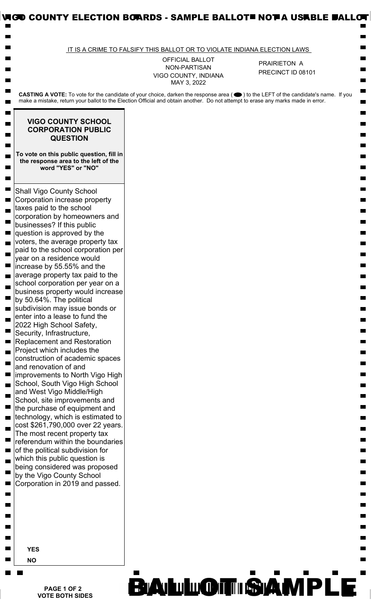|                                                                                                                                                                                                                                                                                                                                                                                                         | IT IS A CRIME TO FALSIFY THIS BALLOT OR TO VIOLATE INDIANA ELECTION LAWS |                                   |
|---------------------------------------------------------------------------------------------------------------------------------------------------------------------------------------------------------------------------------------------------------------------------------------------------------------------------------------------------------------------------------------------------------|--------------------------------------------------------------------------|-----------------------------------|
|                                                                                                                                                                                                                                                                                                                                                                                                         | OFFICIAL BALLOT<br>NON-PARTISAN<br>VIGO COUNTY, INDIANA<br>MAY 3, 2022   | PRAIRIETON A<br>PRECINCT ID 08101 |
| CASTING A VOTE: To vote for the candidate of your choice, darken the response area (●) to the LEFT of the candidate's name. If you<br>make a mistake, return your ballot to the Election Official and obtain another. Do not attempt to erase any marks made in error.                                                                                                                                  |                                                                          |                                   |
| <b>VIGO COUNTY SCHOOL</b><br><b>CORPORATION PUBLIC</b><br><b>QUESTION</b>                                                                                                                                                                                                                                                                                                                               |                                                                          |                                   |
| To vote on this public question, fill in<br>the response area to the left of the<br>word "YES" or "NO"                                                                                                                                                                                                                                                                                                  |                                                                          |                                   |
| <b>Shall Vigo County School</b><br>Corporation increase property<br>taxes paid to the school<br>corporation by homeowners and<br>businesses? If this public<br>question is approved by the<br>voters, the average property tax<br>paid to the school corporation per<br>year on a residence would<br>increase by 55.55% and the<br>average property tax paid to the<br>school corporation per year on a |                                                                          |                                   |
| business property would increase<br>by 50.64%. The political<br>subdivision may issue bonds or<br>enter into a lease to fund the<br>2022 High School Safety,<br>Security, Infrastructure,<br><b>Replacement and Restoration</b><br>Project which includes the                                                                                                                                           |                                                                          |                                   |
| construction of academic spaces<br>and renovation of and<br>improvements to North Vigo High<br>School, South Vigo High School<br>and West Vigo Middle/High<br>School, site improvements and<br>the purchase of equipment and<br>technology, which is estimated to                                                                                                                                       |                                                                          |                                   |
| cost \$261,790,000 over 22 years.<br>The most recent property tax<br>referendum within the boundaries<br>of the political subdivision for<br>which this public question is<br>being considered was proposed<br>by the Vigo County School                                                                                                                                                                |                                                                          |                                   |
| Corporation in 2019 and passed.                                                                                                                                                                                                                                                                                                                                                                         |                                                                          |                                   |
| <b>YES</b>                                                                                                                                                                                                                                                                                                                                                                                              |                                                                          |                                   |
| <b>NO</b>                                                                                                                                                                                                                                                                                                                                                                                               |                                                                          |                                   |